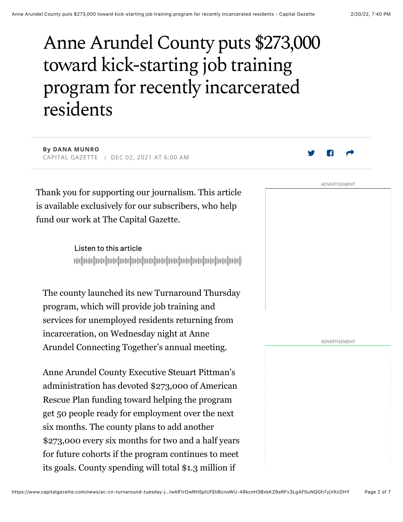# Anne Arundel County puts \$273,000 toward kick-starting job training program for recently incarcerated residents

**By DANA MUNRO** CAPITAL GAZETTE | DEC 02, 2021 AT 6:00 AM

Thank you for supporting our journalism. This article is available exclusively for our subscribers, who help fund our work at The Capital Gazette.

> Listen to this article իկակի ժովիական իրական իրակի օրգինական կարգավոր կարող իրական կարող ի

The county launched its new Turnaround Thursday program, which will provide job training and services for unemployed residents returning from incarceration, on Wednesday night at Anne Arundel Connecting Together's annual meeting.

Anne Arundel County Executive Steuart Pittman's administration has devoted \$273,000 of American Rescue Plan funding toward helping the program get 50 people ready for employment over the next six months. The county plans to add another \$273,000 every six months for two and a half years for future cohorts if the program continues to meet its goals. County spending will total \$1.3 million if

ADVERTISEMENT

ADVERTISEMENT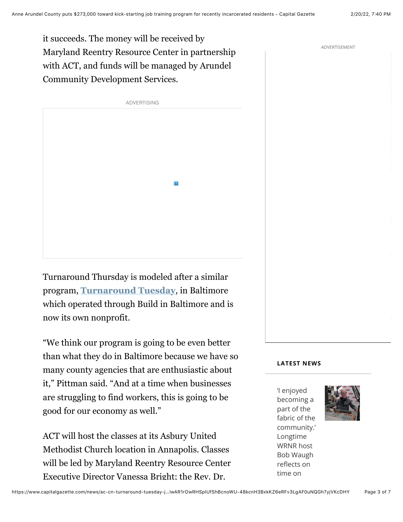it succeeds. The money will be received by Maryland Reentry Resource Center in partnership with ACT, and funds will be managed by Arundel Community Development Services.



Turnaround Thursday is modeled after a similar program, **Turnaround Tuesday**, in Baltimore which operated through Build in Baltimore and is now its own nonprofit.

"We think our program is going to be even better than what they do in Baltimore because we have so many county agencies that are enthusiastic about it," Pittman said. "And at a time when businesses are struggling to find workers, this is going to be good for our economy as well."

ACT will host the classes at its Asbury United Methodist Church location in Annapolis. Classes will be led by Maryland Reentry Resource Center Executive Director Vanessa Bright; the Rev. Dr.

# **LATEST NEWS**

'I enjoyed becoming a part of the fabric of the community.' Longtime WRNR host Bob Waugh reflects on time on



ADVERTISEMENT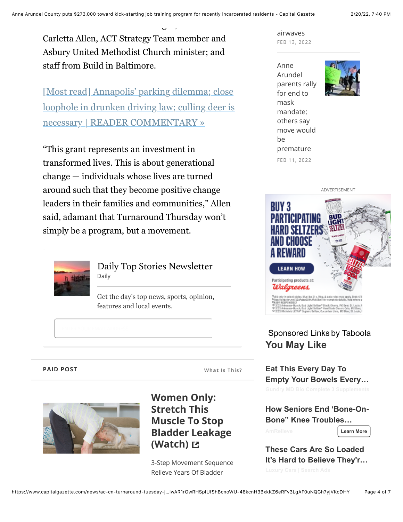Carletta Allen, ACT Strategy Team member and Asbury United Methodist Church minister; and staff from Build in Baltimore.

Executive Director Vanessa Bright; the Rev. Dr.

[Most read] Annapolis' parking dilemma; close loophole in drunken driving law; culling deer is necessary | READER COMMENTARY »

"This grant represents an investment in transformed lives. This is about generational change — individuals whose lives are turned around such that they become positive change leaders in their families and communities," Allen said, adamant that Turnaround Thursday won't simply be a program, but a movement.



Daily Top Stories Newsletter Daily

Get the day's top news, sports, opinion, features and local events.

## **PAID POST**

**What Is This?** 



**Women Only: Stretch This Muscle To Stop Bladder Leakage** (Watch) **E** 

3-Step Movement Sequence Relieve Years Of Bladder

airwayes FEB 13, 2022

Anne Arundel parents rally for end to mask mandate; others say move would  $be$ premature FEB 11, 2022





# Sponsored Links by Taboola **You May Like**

**Eat This Every Day To Empty Your Bowels Every…**

**How Seniors End 'Bone-On-Bone" Knee Troubles…**

**Learn More**

**These Cars Are So Loaded It's Hard to Believe They'r…**